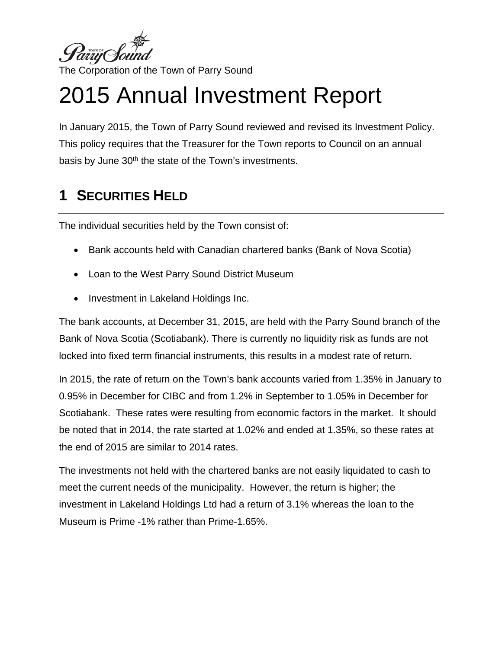

# 2015 Annual Investment Report

In January 2015, the Town of Parry Sound reviewed and revised its Investment Policy. This policy requires that the Treasurer for the Town reports to Council on an annual basis by June 30<sup>th</sup> the state of the Town's investments.

## **1 SECURITIES HELD**

The individual securities held by the Town consist of:

- Bank accounts held with Canadian chartered banks (Bank of Nova Scotia)
- Loan to the West Parry Sound District Museum
- Investment in Lakeland Holdings Inc.

The bank accounts, at December 31, 2015, are held with the Parry Sound branch of the Bank of Nova Scotia (Scotiabank). There is currently no liquidity risk as funds are not locked into fixed term financial instruments, this results in a modest rate of return.

In 2015, the rate of return on the Town's bank accounts varied from 1.35% in January to 0.95% in December for CIBC and from 1.2% in September to 1.05% in December for Scotiabank. These rates were resulting from economic factors in the market. It should be noted that in 2014, the rate started at 1.02% and ended at 1.35%, so these rates at the end of 2015 are similar to 2014 rates.

The investments not held with the chartered banks are not easily liquidated to cash to meet the current needs of the municipality. However, the return is higher; the investment in Lakeland Holdings Ltd had a return of 3.1% whereas the loan to the Museum is Prime -1% rather than Prime-1.65%.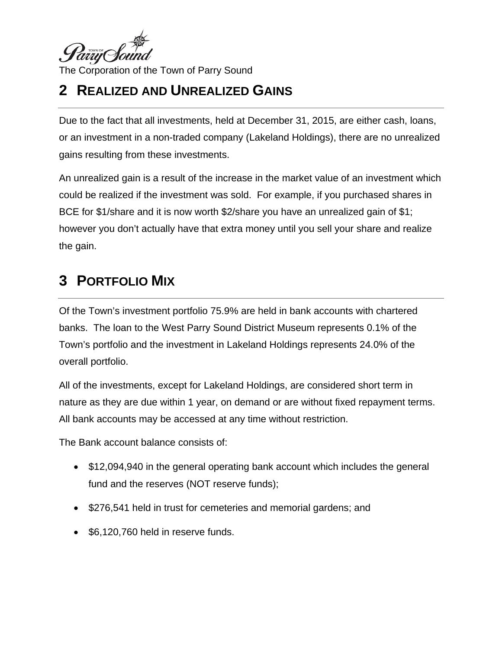

## **2 REALIZED AND UNREALIZED GAINS**

Due to the fact that all investments, held at December 31, 2015, are either cash, loans, or an investment in a non-traded company (Lakeland Holdings), there are no unrealized gains resulting from these investments.

An unrealized gain is a result of the increase in the market value of an investment which could be realized if the investment was sold. For example, if you purchased shares in BCE for \$1/share and it is now worth \$2/share you have an unrealized gain of \$1; however you don't actually have that extra money until you sell your share and realize the gain.

### **3 PORTFOLIO MIX**

Of the Town's investment portfolio 75.9% are held in bank accounts with chartered banks. The loan to the West Parry Sound District Museum represents 0.1% of the Town's portfolio and the investment in Lakeland Holdings represents 24.0% of the overall portfolio.

All of the investments, except for Lakeland Holdings, are considered short term in nature as they are due within 1 year, on demand or are without fixed repayment terms. All bank accounts may be accessed at any time without restriction.

The Bank account balance consists of:

- \$12,094,940 in the general operating bank account which includes the general fund and the reserves (NOT reserve funds);
- \$276,541 held in trust for cemeteries and memorial gardens; and
- \$6,120,760 held in reserve funds.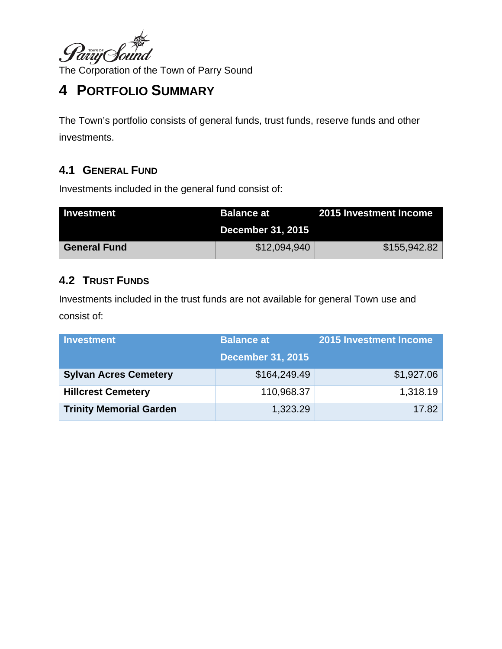

## **4 PORTFOLIO SUMMARY**

The Town's portfolio consists of general funds, trust funds, reserve funds and other investments.

#### **4.1 GENERAL FUND**

Investments included in the general fund consist of:

| <b>Investment</b>   | Balance at               | 2015 Investment Income |
|---------------------|--------------------------|------------------------|
|                     | <b>December 31, 2015</b> |                        |
| <b>General Fund</b> | \$12,094,940             | \$155,942.82           |

#### **4.2 TRUST FUNDS**

Investments included in the trust funds are not available for general Town use and consist of:

| <b>Investment</b>              | <b>Balance at</b>        | 2015 Investment Income |
|--------------------------------|--------------------------|------------------------|
|                                | <b>December 31, 2015</b> |                        |
| <b>Sylvan Acres Cemetery</b>   | \$164,249.49             | \$1,927.06             |
| <b>Hillcrest Cemetery</b>      | 110,968.37               | 1,318.19               |
| <b>Trinity Memorial Garden</b> | 1,323.29                 | 17.82                  |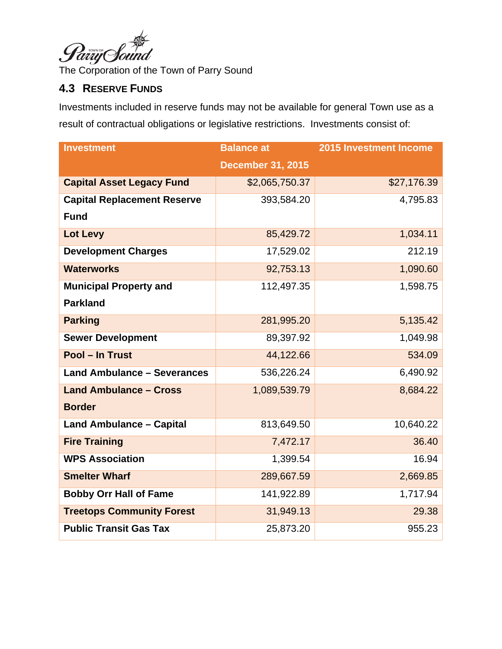

#### **4.3 RESERVE FUNDS**

Investments included in reserve funds may not be available for general Town use as a result of contractual obligations or legislative restrictions. Investments consist of:

| <b>Investment</b>                  | <b>Balance at</b>        | 2015 Investment Income |
|------------------------------------|--------------------------|------------------------|
|                                    | <b>December 31, 2015</b> |                        |
| <b>Capital Asset Legacy Fund</b>   | \$2,065,750.37           | \$27,176.39            |
| <b>Capital Replacement Reserve</b> | 393,584.20               | 4,795.83               |
| <b>Fund</b>                        |                          |                        |
| Lot Levy                           | 85,429.72                | 1,034.11               |
| <b>Development Charges</b>         | 17,529.02                | 212.19                 |
| <b>Waterworks</b>                  | 92,753.13                | 1,090.60               |
| <b>Municipal Property and</b>      | 112,497.35               | 1,598.75               |
| <b>Parkland</b>                    |                          |                        |
| <b>Parking</b>                     | 281,995.20               | 5,135.42               |
| <b>Sewer Development</b>           | 89,397.92                | 1,049.98               |
| Pool - In Trust                    | 44,122.66                | 534.09                 |
| <b>Land Ambulance - Severances</b> | 536,226.24               | 6,490.92               |
| <b>Land Ambulance - Cross</b>      | 1,089,539.79             | 8,684.22               |
| <b>Border</b>                      |                          |                        |
| <b>Land Ambulance - Capital</b>    | 813,649.50               | 10,640.22              |
| <b>Fire Training</b>               | 7,472.17                 | 36.40                  |
| <b>WPS Association</b>             | 1,399.54                 | 16.94                  |
| <b>Smelter Wharf</b>               | 289,667.59               | 2,669.85               |
| <b>Bobby Orr Hall of Fame</b>      | 141,922.89               | 1,717.94               |
| <b>Treetops Community Forest</b>   | 31,949.13                | 29.38                  |
| <b>Public Transit Gas Tax</b>      | 25,873.20                | 955.23                 |